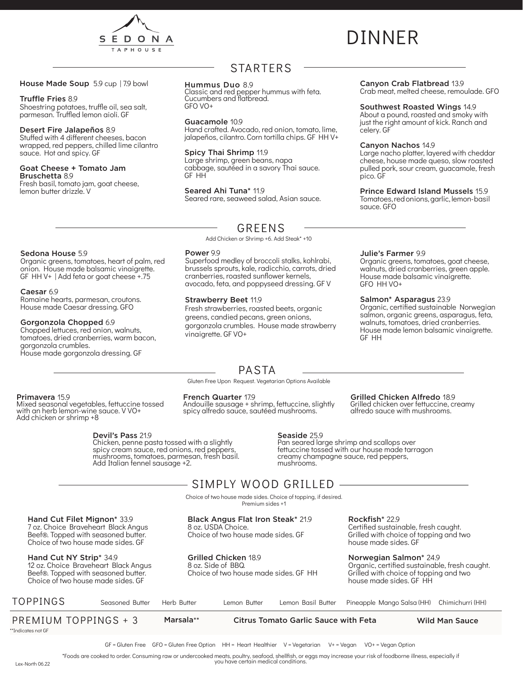

# DINNER

### House Made Soup 5.9 cup | 7.9 bowl

#### Truffle Fries 8.9

Shoestring potatoes, truffle oil, sea salt, parmesan. Truffled lemon aioli. GF

#### Desert Fire Jalapeños 8.9

Stuffed with 4 different cheeses, bacon wrapped, red peppers, chilled lime cilantro sauce. Hot and spicy. GF

### Goat Cheese + Tomato Jam

Bruschetta 8.9 Fresh basil, tomato jam, goat cheese, lemon butter drizzle. V

### STARTERS

### Hummus Duo 8.9

Classic and red pepper hummus with feta. Cucumbers and flatbread. GFO VO+

### Guacamole 10.9

Hand crafted. Avocado, red onion, tomato, lime, jalapeños, cilantro. Corn tortilla chips. GF HH V+

### Spicy Thai Shrimp 11.9

Large shrimp, green beans, napa cabbage, sautéed in a savory Thai sauce. GF HH

### Seared Ahi Tuna\* 11.9

Seared rare, seaweed salad, Asian sauce.

### Canyon Crab Flatbread 13.9

Crab meat, melted cheese, remoulade. GFO

### Southwest Roasted Wings 14.9

About a pound, roasted and smoky with just the right amount of kick. Ranch and celery. GF

#### Canyon Nachos 14.9

Large nacho platter, layered with cheddar cheese, house made queso, slow roasted pulled pork, sour cream, guacamole, fresh pico. GF

### Prince Edward Island Mussels 15.9

Tomatoes, red onions, garlic, lemon- basil sauce. GFO

Sedona House 5.9 Organic greens, tomatoes, heart of palm, red onion. House made balsamic vinaigrette. GF HH V+ | Add feta or goat cheese +.75

### Caesar 6.9

Romaine hearts, parmesan, croutons. House made Caesar dressing. GFO

### Gorgonzola Chopped 6.9

Chopped lettuces, red onion, walnuts, tomatoes, dried cranberries, warm bacon, gorgonzola crumbles. House made gorgonzola dressing. GF

### Power 9.9

Superfood medley of broccoli stalks, kohlrabi, brussels sprouts, kale, radicchio, carrots, dried cranberries, roasted sunflower kernels, avocado, feta, and poppyseed dressing. GF V

GREENS Add Chicken or Shrimp +6. Add Steak\* +10

### Strawberry Beet 11.9

Fresh strawberries, roasted beets, organic greens, candied pecans, green onions, gorgonzola crumbles. House made strawberry vinaigrette. GF VO+

### Julie's Farmer 9.9

Organic greens, tomatoes, goat cheese, walnuts, dried cranberries, green apple. House made balsamic vinaigrette. GFO HH VO+

### Salmon\* Asparagus 23.9

Grilled Chicken Alfredo 18.9 Grilled chicken over fettuccine, creamy alfredo sauce with mushrooms.

Organic, certified sustainable Norwegian salmon, organic greens, asparagus, feta, walnuts, tomatoes, dried cranberries. House made lemon balsamic vinaigrette. GF HH

### PASTA

Gluten Free Upon Request. Vegetarian Options Available

### Primavera 15.9

Mixed seasonal vegetables, fettuccine tossed with an herb lemon-wine sauce. V VO+ Add chicken or shrimp +8

### Devil's Pass 21.9

Chicken, penne pasta tossed with a slightly spicy cream sauce, red onions, red peppers, mushrooms, tomatoes, parmesan, fresh basil. Add Italian fennel sausage +2.

### Seaside 25.9

Pan seared large shrimp and scallops over fettuccine tossed with our house made tarragon creamy champagne sauce, red peppers, mushrooms

### SIMPLY WOOD GRILLED

Choice of two house made sides. Choice of topping, if desired. Premium sides +1

Hand Cut Filet Mignon\* 33.9 7 oz. Choice Braveheart Black Angus Beef®. Topped with seasoned butter. Choice of two house made sides. GF

Hand Cut NY Strip\* 34.9

12 oz. Choice Braveheart Black Angus Beef®. Topped with seasoned butter. Choice of two house made sides. GF

Black Angus Flat Iron Steak\* 21.9 8 oz. USDA Choice.

Choice of two house made sides. GF

### Grilled Chicken 18.9

8 oz. Side of BBQ. Choice of two house made sides. GF HH

#### Rockfish\* 22.9

Certified sustainable, fresh caught. Grilled with choice of topping and two house made sides. GF

### Norwegian Salmon\* 24.9

Organic, certified sustainable, fresh caught. Grilled with choice of topping and two house made sides. GF HH

| TOPPINGS             | Seasoned Butter | Herb Butter | Lemon Butter | Lemon Basil Butter                          | Pineapple Mango Salsa (HH) Chimichurri (HH) |                |  |
|----------------------|-----------------|-------------|--------------|---------------------------------------------|---------------------------------------------|----------------|--|
| PREMIUM TOPPINGS + 3 |                 | Marsala**   |              | <b>Citrus Tomato Garlic Sauce with Feta</b> |                                             | Wild Man Sauce |  |

\*\*Indicates not GF

\*Foods are cooked to order. Consuming raw or undercooked meats, poultry, seafood, shellfish, or eggs may increase your risk of foodborne illness, especially if you have certain medical conditions. Lex-North 06.22

French Quarter 17.9 Andouille sausage + shrimp, fettuccine, slightly spicy alfredo sauce, sautéed mushrooms.

GF = Gluten Free GFO = Gluten Free Option HH = Heart Healthier V = Vegetarian V+ = Vegan VO+ = Vegan Option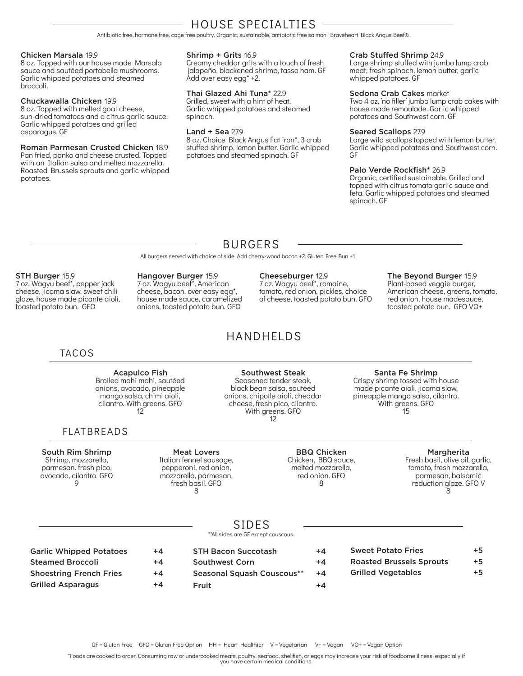## HOUSE SPECIALTIES

Antibiotic free, hormone free, cage free poultry. Organic, sustainable, antibiotic free salmon. Braveheart Black Angus Beef®.

#### Chicken Marsala 19.9

8 oz. Topped with our house made Marsala sauce and sautéed portabella mushrooms. Garlic whipped potatoes and steamed broccoli.

### Chuckawalla Chicken 19.9

8 oz. Topped with melted goat cheese, sun-dried tomatoes and a citrus garlic sauce. Garlic whipped potatoes and grilled asparagus. GF

Roman Parmesan Crusted Chicken 18.9 Pan fried, panko and cheese crusted. Topped with an Italian salsa and melted mozzarella. Roasted Brussels sprouts and garlic whipped potatoes.

### Shrimp + Grits 16.9

Creamy cheddar grits with a touch of fresh jalapeño, blackened shrimp, tasso ham. GF Add over easy egg\* +2.

### Thai Glazed Ahi Tuna\* 22.9

Grilled, sweet with a hint of heat. Garlic whipped potatoes and steamed spinach.

### Land + Sea 27.9

8 oz. Choice Black Angus flat iron\*, 3 crab stuffed shrimp, lemon butter. Garlic whipped potatoes and steamed spinach. GF

### Crab Stuffed Shrimp 24.9

Large shrimp stuffed with jumbo lump crab meat, fresh spinach, lemon butter, garlic whipped potatoes. GF

### Sedona Crab Cakes market

Two 4 oz, 'no filler' jumbo lump crab cakes with house made remoulade. Garlic whipped potatoes and Southwest corn. GF

### Seared Scallops 27.9

Large wild scallops topped with lemon butter. Garlic whipped potatoes and Southwest corn. GF

### Palo Verde Rockfish\* 26.9

Organic, certified sustainable. Grilled and topped with citrus tomato garlic sauce and feta. Garlic whipped potatoes and steamed spinach. GF

### BURGERS

All burgers served with choice of side. Add cherry-wood bacon +2. Gluten Free Bun +1

### STH Burger 15.9

7 oz. Wagyu beef\*, pepper jack cheese, jicama slaw, sweet chili glaze, house made picante aioli, toasted potato bun. GFO

Hangover Burger 15.9 7 oz. Wagyu beef\*, American cheese, bacon, over easy egg\*, house made sauce, caramelized onions, toasted potato bun. GFO

### Cheeseburger 12.9

7 oz. Wagyu beef\*, romaine, tomato, red onion, pickles, choice of cheese, toasted potato bun. GFO

> BBQ Chicken Chicken, BBQ sauce, melted mozzarella, red onion. GFO 8

### The Beyond Burger 15.9

Plant-based veggie burger, American cheese, greens, tomato, red onion, house madesauce, toasted potato bun. GFO VO+

### TACOS

Acapulco Fish Broiled mahi mahi, sautéed onions, avocado, pineapple mango salsa, chimi aioli, cilantro. With greens. GFO

12

### FLATBREADS

#### South Rim Shrimp Shrimp, mozzarella, parmesan. fresh pico, avocado, cilantro. GFO  $\mathsf{Q}$

Meat Lovers Italian fennel sausage, pepperoni, red onion, mozzarella, parmesan, fresh basil. GFO 8

Southwest Steak Seasoned tender steak, black bean salsa, sautéed onions, chipotle aioli, cheddar cheese, fresh pico, cilantro. With greens. GFO 12

HANDHELDS

### Santa Fe Shrimp

Crispy shrimp tossed with house made picante aioli, jicama slaw, pineapple mango salsa, cilantro. With greens. GFO 15

### Margherita

Fresh basil, olive oil, garlic, tomato, fresh mozzarella, parmesan, balsamic reduction glaze. GFO V 8

\*\*All sides are GF except couscous.

| <b>Garlic Whipped Potatoes</b> | +4 | <b>STH Bacon Succotash</b> | $+4$ |
|--------------------------------|----|----------------------------|------|
| <b>Steamed Broccoli</b>        | +4 | <b>Southwest Corn</b>      | $+4$ |
| <b>Shoestring French Fries</b> | +4 | Seasonal Squash Couscous** | $+4$ |
| <b>Grilled Asparagus</b>       | +4 | Fruit                      | $+4$ |

| <b>Sweet Potato Fries</b>       | $+5$ |
|---------------------------------|------|
| <b>Roasted Brussels Sprouts</b> | $+5$ |
| <b>Grilled Vegetables</b>       | $+5$ |

\*Foods are cooked to order. Consuming raw or undercooked meats, poultry, seafood, shellfish, or eggs may increase your risk of foodborne illness, especially if you have certain medical conditions.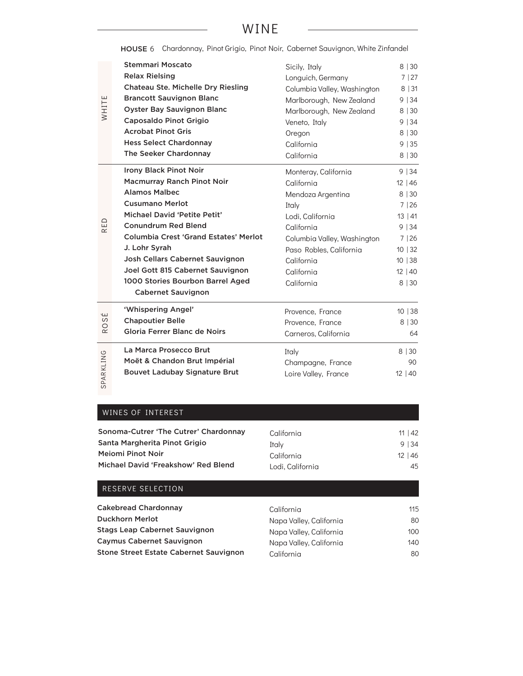### WINE

HOUSE 6 Chardonnay, Pinot Grigio, Pinot Noir, Cabernet Sauvignon, White Zinfandel

| WHITE                            | <b>Stemmari Moscato</b>                                                                                                                                                                                                                                                                                                                                                              | Sicily, Italy                                                                                                                                                                                          | 8 30                                                                                                        |
|----------------------------------|--------------------------------------------------------------------------------------------------------------------------------------------------------------------------------------------------------------------------------------------------------------------------------------------------------------------------------------------------------------------------------------|--------------------------------------------------------------------------------------------------------------------------------------------------------------------------------------------------------|-------------------------------------------------------------------------------------------------------------|
|                                  | <b>Relax Rielsing</b>                                                                                                                                                                                                                                                                                                                                                                | Longuich, Germany                                                                                                                                                                                      | 7 27                                                                                                        |
|                                  | <b>Chateau Ste. Michelle Dry Riesling</b>                                                                                                                                                                                                                                                                                                                                            | Columbia Valley, Washington                                                                                                                                                                            | 8 31                                                                                                        |
|                                  | <b>Brancott Sauvignon Blanc</b>                                                                                                                                                                                                                                                                                                                                                      | Marlborough, New Zealand                                                                                                                                                                               | 9 34                                                                                                        |
|                                  | <b>Oyster Bay Sauvignon Blanc</b>                                                                                                                                                                                                                                                                                                                                                    | Marlborough, New Zealand                                                                                                                                                                               | 8 30                                                                                                        |
|                                  | <b>Caposaldo Pinot Grigio</b>                                                                                                                                                                                                                                                                                                                                                        | Veneto, Italy                                                                                                                                                                                          | 9 34                                                                                                        |
|                                  | <b>Acrobat Pinot Gris</b>                                                                                                                                                                                                                                                                                                                                                            | Oregon                                                                                                                                                                                                 | 8 30                                                                                                        |
|                                  | <b>Hess Select Chardonnay</b>                                                                                                                                                                                                                                                                                                                                                        | California                                                                                                                                                                                             | 9 35                                                                                                        |
|                                  | The Seeker Chardonnay                                                                                                                                                                                                                                                                                                                                                                | California                                                                                                                                                                                             | 8 30                                                                                                        |
| RED                              | <b>Irony Black Pinot Noir</b><br><b>Macmurray Ranch Pinot Noir</b><br><b>Alamos Malbec</b><br><b>Cusumano Merlot</b><br>Michael David 'Petite Petit'<br><b>Conundrum Red Blend</b><br>Columbia Crest 'Grand Estates' Merlot<br>J. Lohr Syrah<br>Josh Cellars Cabernet Sauvignon<br>Joel Gott 815 Cabernet Sauvignon<br>1000 Stories Bourbon Barrel Aged<br><b>Cabernet Sauvignon</b> | Monteray, California<br>California<br>Mendoza Argentina<br>Italy<br>Lodi, California<br>California<br>Columbia Valley, Washington<br>Paso Robles, California<br>California<br>California<br>California | 9 34<br>$12 \mid 46$<br>8 30<br>7   26<br>$13 \mid 41$<br>9 34<br>7 26<br>10   32<br>10 38<br>12 40<br>8 30 |
| سا<br>$\omega$<br>O<br>$\propto$ | 'Whispering Angel'<br><b>Chapoutier Belle</b><br>Gloria Ferrer Blanc de Noirs                                                                                                                                                                                                                                                                                                        | Provence, France<br>Provence, France<br>Carneros, California                                                                                                                                           | 10 38<br>8 30<br>64                                                                                         |
| SPARKLING                        | La Marca Prosecco Brut                                                                                                                                                                                                                                                                                                                                                               | Italy                                                                                                                                                                                                  | 8   30                                                                                                      |
|                                  | Moët & Chandon Brut Impérial                                                                                                                                                                                                                                                                                                                                                         | Champagne, France                                                                                                                                                                                      | 90                                                                                                          |
|                                  | <b>Bouvet Ladubay Signature Brut</b>                                                                                                                                                                                                                                                                                                                                                 | Loire Valley, France                                                                                                                                                                                   | 12 40                                                                                                       |

### WINES OF INTEREST

| Sonoma-Cutrer 'The Cutrer' Chardonnay | California       | 11   42 |
|---------------------------------------|------------------|---------|
| Santa Margherita Pinot Grigio         | Italy            | 9 34    |
| Mejomi Pinot Noir                     | California       | 12   46 |
| Michael David 'Freakshow' Red Blend   | Lodi. California | 45      |

### RESERVE SELECTION

| <b>Cakebread Chardonnay</b>            | California              | 115 |
|----------------------------------------|-------------------------|-----|
| <b>Duckhorn Merlot</b>                 | Napa Valley, California | 80  |
| <b>Stags Leap Cabernet Sauvignon</b>   | Napa Valley, California | 100 |
| <b>Caymus Cabernet Sauvignon</b>       | Napa Valley, California | 140 |
| Stone Street Estate Cabernet Sauvignon | California              | 80  |